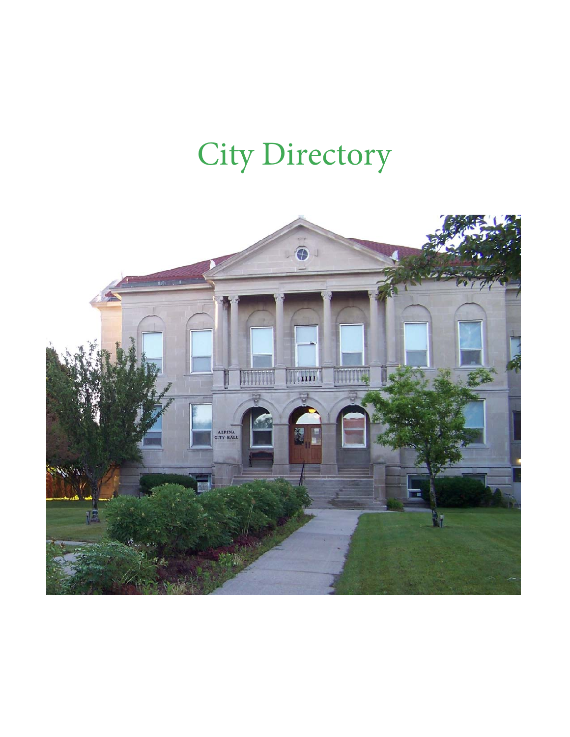# City Directory

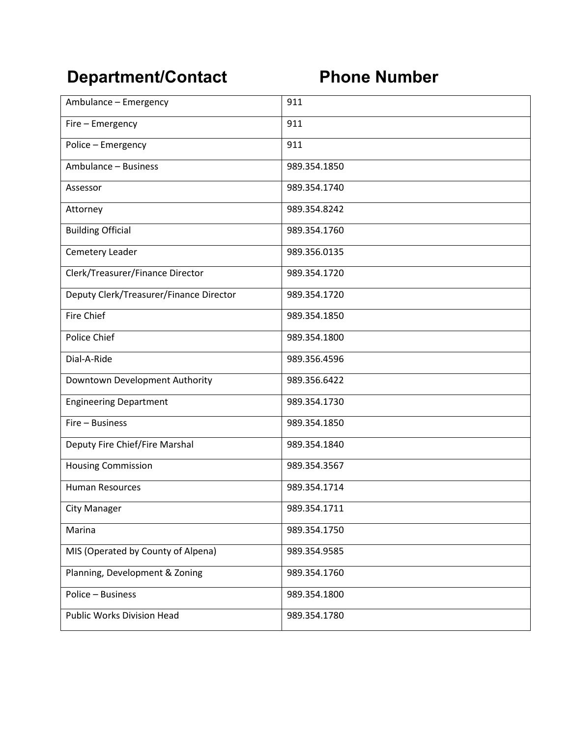## **Department/Contact Phone Number**

| Ambulance - Emergency                   | 911          |
|-----------------------------------------|--------------|
| Fire - Emergency                        | 911          |
| Police - Emergency                      | 911          |
| Ambulance - Business                    | 989.354.1850 |
| Assessor                                | 989.354.1740 |
| Attorney                                | 989.354.8242 |
| <b>Building Official</b>                | 989.354.1760 |
| Cemetery Leader                         | 989.356.0135 |
| Clerk/Treasurer/Finance Director        | 989.354.1720 |
| Deputy Clerk/Treasurer/Finance Director | 989.354.1720 |
| <b>Fire Chief</b>                       | 989.354.1850 |
| Police Chief                            | 989.354.1800 |
| Dial-A-Ride                             | 989.356.4596 |
| Downtown Development Authority          | 989.356.6422 |
| <b>Engineering Department</b>           | 989.354.1730 |
| Fire - Business                         | 989.354.1850 |
| Deputy Fire Chief/Fire Marshal          | 989.354.1840 |
| <b>Housing Commission</b>               | 989.354.3567 |
| <b>Human Resources</b>                  | 989.354.1714 |
| City Manager                            | 989.354.1711 |
| Marina                                  | 989.354.1750 |
| MIS (Operated by County of Alpena)      | 989.354.9585 |
| Planning, Development & Zoning          | 989.354.1760 |
| Police - Business                       | 989.354.1800 |
| <b>Public Works Division Head</b>       | 989.354.1780 |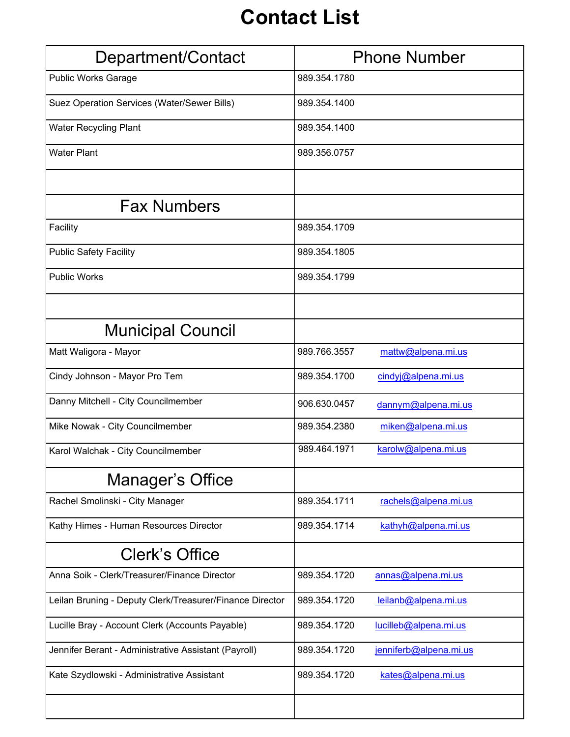# **Contact List**

| Department/Contact                                       | <b>Phone Number</b>                    |
|----------------------------------------------------------|----------------------------------------|
| <b>Public Works Garage</b>                               | 989.354.1780                           |
| Suez Operation Services (Water/Sewer Bills)              | 989.354.1400                           |
| <b>Water Recycling Plant</b>                             | 989.354.1400                           |
| <b>Water Plant</b>                                       | 989.356.0757                           |
|                                                          |                                        |
| <b>Fax Numbers</b>                                       |                                        |
| Facility                                                 | 989.354.1709                           |
| <b>Public Safety Facility</b>                            | 989.354.1805                           |
| <b>Public Works</b>                                      | 989.354.1799                           |
|                                                          |                                        |
| <b>Municipal Council</b>                                 |                                        |
| Matt Waligora - Mayor                                    | 989.766.3557<br>mattw@alpena.mi.us     |
| Cindy Johnson - Mayor Pro Tem                            | 989.354.1700<br>cindyj@alpena.mi.us    |
| Danny Mitchell - City Councilmember                      | 906.630.0457<br>dannym@alpena.mi.us    |
| Mike Nowak - City Councilmember                          | 989.354.2380<br>miken@alpena.mi.us     |
| Karol Walchak - City Councilmember                       | 989.464.1971<br>karolw@alpena.mi.us    |
| Manager's Office                                         |                                        |
| Rachel Smolinski - City Manager                          | 989.354.1711<br>rachels@alpena.mi.us   |
| Kathy Himes - Human Resources Director                   | 989.354.1714<br>kathyh@alpena.mi.us    |
| <b>Clerk's Office</b>                                    |                                        |
| Anna Soik - Clerk/Treasurer/Finance Director             | 989.354.1720<br>annas@alpena.mi.us     |
| Leilan Bruning - Deputy Clerk/Treasurer/Finance Director | 989.354.1720<br>leilanb@alpena.mi.us   |
| Lucille Bray - Account Clerk (Accounts Payable)          | lucilleb@alpena.mi.us<br>989.354.1720  |
| Jennifer Berant - Administrative Assistant (Payroll)     | 989.354.1720<br>jenniferb@alpena.mi.us |
| Kate Szydlowski - Administrative Assistant               | 989.354.1720<br>kates@alpena.mi.us     |
|                                                          |                                        |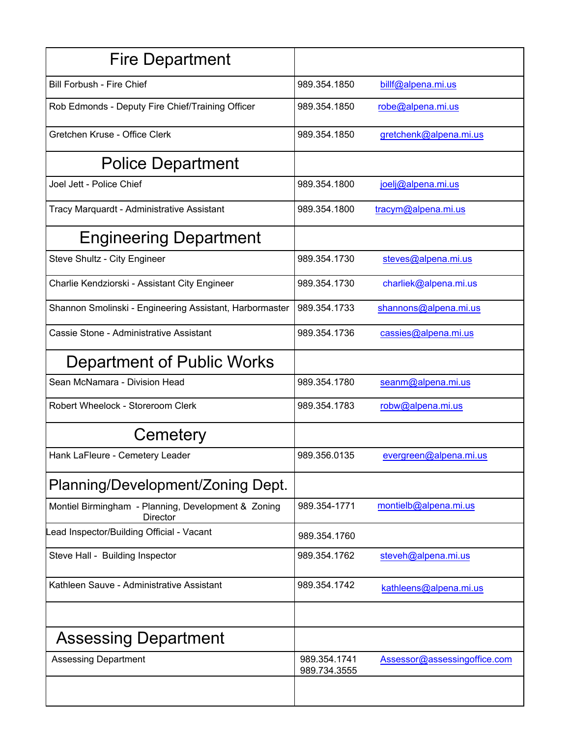| <b>Fire Department</b>                                                 |                              |                              |
|------------------------------------------------------------------------|------------------------------|------------------------------|
| <b>Bill Forbush - Fire Chief</b>                                       | 989.354.1850                 | billf@alpena.mi.us           |
| Rob Edmonds - Deputy Fire Chief/Training Officer                       | 989.354.1850                 | robe@alpena.mi.us            |
| Gretchen Kruse - Office Clerk                                          | 989.354.1850                 | gretchenk@alpena.mi.us       |
| <b>Police Department</b>                                               |                              |                              |
| Joel Jett - Police Chief                                               | 989.354.1800                 | joelj@alpena.mi.us           |
| Tracy Marquardt - Administrative Assistant                             | 989.354.1800                 | tracym@alpena.mi.us          |
| <b>Engineering Department</b>                                          |                              |                              |
| Steve Shultz - City Engineer                                           | 989.354.1730                 | steves@alpena.mi.us          |
| Charlie Kendziorski - Assistant City Engineer                          | 989.354.1730                 | charliek@alpena.mi.us        |
| Shannon Smolinski - Engineering Assistant, Harbormaster                | 989.354.1733                 | shannons@alpena.mi.us        |
| Cassie Stone - Administrative Assistant                                | 989.354.1736                 | cassies@alpena.mi.us         |
| Department of Public Works                                             |                              |                              |
| Sean McNamara - Division Head                                          | 989.354.1780                 | seanm@alpena.mi.us           |
| Robert Wheelock - Storeroom Clerk                                      | 989.354.1783                 | robw@alpena.mi.us            |
| Cemetery                                                               |                              |                              |
| Hank LaFleure - Cemetery Leader                                        | 989.356.0135                 | evergreen@alpena.mi.us       |
| Planning/Development/Zoning Dept.                                      |                              |                              |
| Montiel Birmingham - Planning, Development & Zoning<br><b>Director</b> | 989.354-1771                 | montielb@alpena.mi.us        |
| ead Inspector/Building Official - Vacant                               | 989.354.1760                 |                              |
| Steve Hall - Building Inspector                                        | 989.354.1762                 | steveh@alpena.mi.us          |
| Kathleen Sauve - Administrative Assistant                              | 989.354.1742                 | kathleens@alpena.mi.us       |
|                                                                        |                              |                              |
| <b>Assessing Department</b>                                            |                              |                              |
| <b>Assessing Department</b>                                            | 989.354.1741<br>989.734.3555 | Assessor@assessingoffice.com |
|                                                                        |                              |                              |